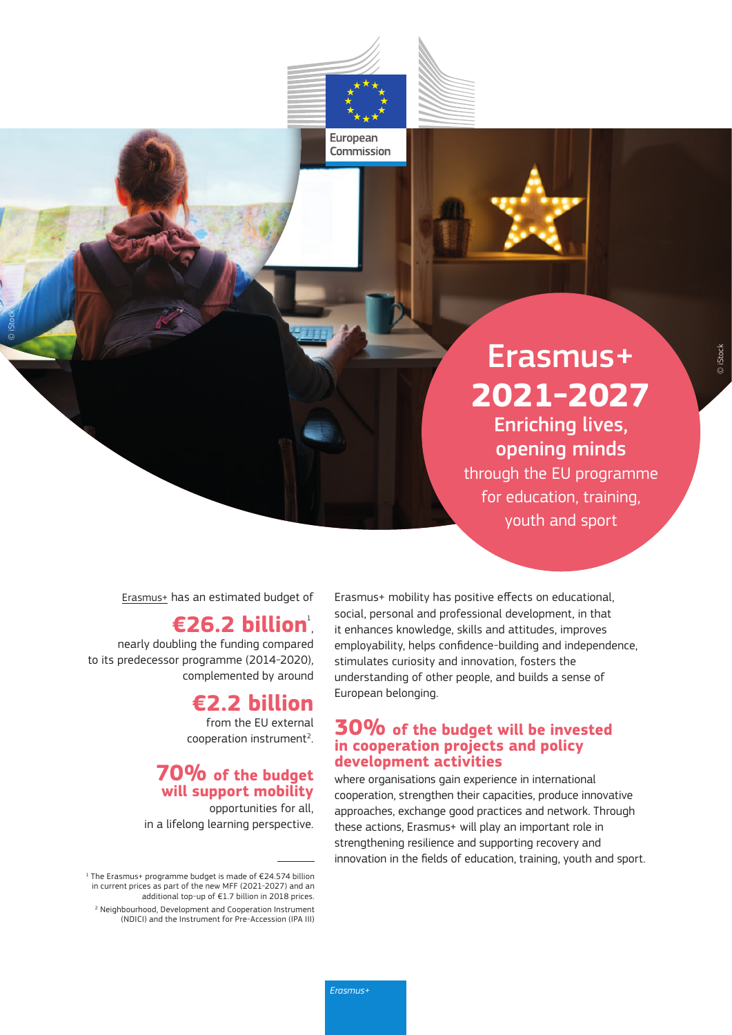## Erasmus+ **2021-2027** Enriching lives,

opening minds through the EU programme for education, training,

youth and sport

[Erasmus+](https://ec.europa.eu/programmes/erasmus-plus/node_en) has an estimated budget of

## **€26.2 billion**

nearly doubling the funding compared to its predecessor programme (2014-2020), complemented by around

© iStock

## **€2.2 billion**

from the EU external cooperation instrument<sup>2</sup>.

#### **70% of the budget will support mobility**

opportunities for all, in a lifelong learning perspective.

Erasmus+ mobility has positive effects on educational, social, personal and professional development, in that it enhances knowledge, skills and attitudes, improves employability, helps confidence-building and independence, stimulates curiosity and innovation, fosters the understanding of other people, and builds a sense of European belonging.

#### **30% of the budget will be invested in cooperation projects and policy development activities**

where organisations gain experience in international cooperation, strengthen their capacities, produce innovative approaches, exchange good practices and network. Through these actions, Erasmus+ will play an important role in strengthening resilience and supporting recovery and innovation in the fields of education, training, youth and sport.

European Commission

<sup>1</sup> The Erasmus+ programme budget is made of €24.574 billion in current prices as part of the new MFF (2021-2027) and an additional top-up of €1.7 billion in 2018 prices. 2 Neighbourhood, Development and Cooperation Instrument (NDICI) and the Instrument for Pre-Accession (IPA III)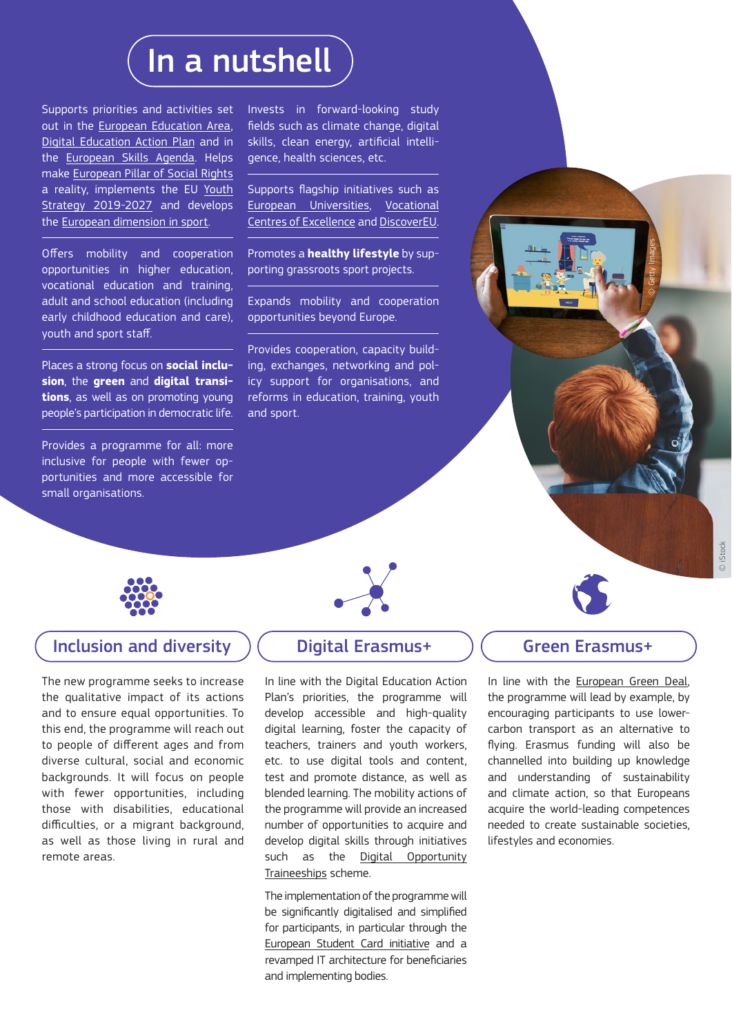# In a nutshell

Supports priorities and activities set out in the [European Education Area,](https://ec.europa.eu/education/education-in-the-eu/european-education-area_en) [Digital Education Action Plan](https://ec.europa.eu/education/education-in-the-eu/digital-education-action-plan_en) and in the [European Skills Agenda.](https://ec.europa.eu/social/main.jsp?catId=1223&langId=en) Helps make [European Pillar of Social Rights](https://ec.europa.eu/info/european-pillar-social-rights/european-pillar-social-rights-20-principles_en)  a reality, implements the EU [Youth](https://europa.eu/youth/strategy_en)  [Strategy 2019-2027](https://europa.eu/youth/strategy_en) and develops the [European dimension in sport](https://ec.europa.eu/info/strategy/sport_en).

Offers mobility and cooperation opportunities in higher education, vocational education and training, adult and school education (including early childhood education and care), youth and sport staff.

Places a strong focus on **social inclusion**, the **green** and **digital transitions**, as well as on promoting young people's participation in democratic life.

Provides a programme for all: more inclusive for people with fewer opportunities and more accessible for small organisations.

Invests in forward-looking study fields such as climate change, digital skills, clean energy, artificial intelligence, health sciences, etc.

Supports flagship initiatives such as [European Universities](https://ec.europa.eu/education/education-in-the-eu/european-education-area/european-universities-initiative_en), [Vocational](https://ec.europa.eu/social/main.jsp?catId=1501#:~:text=Centres%20of%20Vocational%20Excellence%20(CoVEs,to%20regional%2C%20economic%20and%20social) [Centres of Excellence](https://ec.europa.eu/social/main.jsp?catId=1501#:~:text=Centres%20of%20Vocational%20Excellence%20(CoVEs,to%20regional%2C%20economic%20and%20social) and [DiscoverEU](https://europa.eu/youth/discovereu_en).

Promotes a **healthy lifestyle** by supporting grassroots sport projects.

Expands mobility and cooperation opportunities beyond Europe.

Provides cooperation, capacity building, exchanges, networking and policy support for organisations, and reforms in education, training, youth and sport.



#### Inclusion and diversity  $\left($  Digital Erasmus+  $\left($  Green Erasmus+

The new programme seeks to increase the qualitative impact of its actions and to ensure equal opportunities. To this end, the programme will reach out to people of different ages and from diverse cultural, social and economic backgrounds. It will focus on people with fewer opportunities, including those with disabilities, educational difficulties, or a migrant background, as well as those living in rural and remote areas.

In line with the Digital Education Action Plan's priorities, the programme will develop accessible and high-quality digital learning, foster the capacity of teachers, trainers and youth workers, etc. to use digital tools and content, test and promote distance, as well as blended learning. The mobility actions of the programme will provide an increased number of opportunities to acquire and develop digital skills through initiatives such as the Digital Opportunity [Traineeships](https://ec.europa.eu/digital-single-market/en/digital-opportunity-traineeships-boosting-digital-skills-job#:~:text=The%20Digital%20Opportunity%20traineeship%20initiative,graduates%20between%202018%20and%202020.&text=The%20Commission%20sets%20up%20the,help%20respond%20to%20the%20challenge) scheme.

The implementation of the programme will be significantly digitalised and simplified for participants, in particular through the [European Student Card initiative](https://ec.europa.eu/education/education-in-the-eu/european-student-card-initiative_en) and a revamped IT architecture for beneficiaries and implementing bodies.

In line with the [European Green Deal](https://ec.europa.eu/info/strategy/priorities-2019-2024/european-green-deal_en), the programme will lead by example, by encouraging participants to use lowercarbon transport as an alternative to flying. Erasmus funding will also be channelled into building up knowledge and understanding of sustainability and climate action, so that Europeans acquire the world-leading competences needed to create sustainable societies, lifestyles and economies.

© Getty Images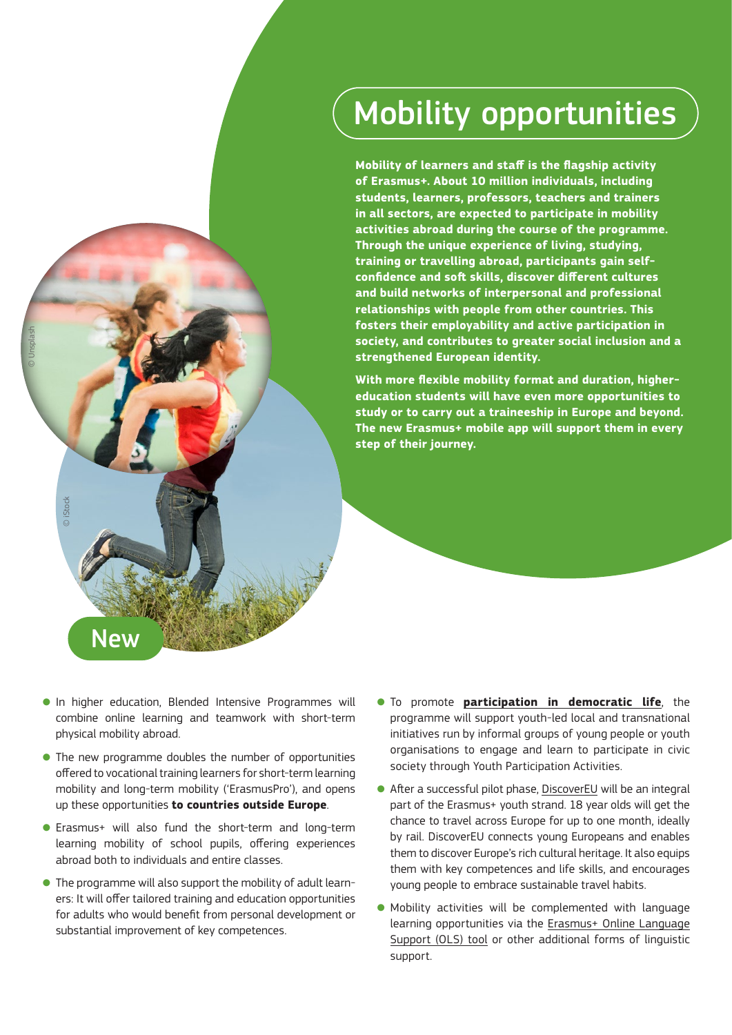# Mobility opportunities

**Mobility of learners and staff is the flagship activity of Erasmus+. About 10 million individuals, including students, learners, professors, teachers and trainers in all sectors, are expected to participate in mobility activities abroad during the course of the programme. Through the unique experience of living, studying, training or travelling abroad, participants gain selfconfidence and soft skills, discover different cultures and build networks of interpersonal and professional relationships with people from other countries. This fosters their employability and active participation in society, and contributes to greater social inclusion and a strengthened European identity.**

**With more flexible mobility format and duration, highereducation students will have even more opportunities to study or to carry out a traineeship in Europe and beyond. The new Erasmus+ mobile app will support them in every step of their journey.** 

● In higher education, Blended Intensive Programmes will combine online learning and teamwork with short-term physical mobility abroad.

© iStock

New

© Unsplash

- The new programme doubles the number of opportunities offered to vocational training learners for short-term learning mobility and long-term mobility ('ErasmusPro'), and opens up these opportunities **to countries outside Europe**.
- Erasmus+ will also fund the short-term and long-term learning mobility of school pupils, offering experiences abroad both to individuals and entire classes.
- The programme will also support the mobility of adult learners: It will offer tailored training and education opportunities for adults who would benefit from personal development or substantial improvement of key competences.
- To promote **[participation in democratic life](https://ec.europa.eu/info/strategy/priorities-2019-2024/new-push-european-democracy_en)**, the programme will support youth-led local and transnational initiatives run by informal groups of young people or youth organisations to engage and learn to participate in civic society through Youth Participation Activities.
- After a successful pilot phase, [DiscoverEU](https://europa.eu/youth/discovereu_en) will be an integral part of the Erasmus+ youth strand. 18 year olds will get the chance to travel across Europe for up to one month, ideally by rail. DiscoverEU connects young Europeans and enables them to discover Europe's rich cultural heritage. It also equips them with key competences and life skills, and encourages young people to embrace sustainable travel habits.
- Mobility activities will be complemented with language learning opportunities via the [Erasmus+ Online Language](https://ec.europa.eu/programmes/erasmus-plus/resources/online-linguistic-support_en) [Support \(OLS\) tool](https://ec.europa.eu/programmes/erasmus-plus/resources/online-linguistic-support_en) or other additional forms of linguistic support.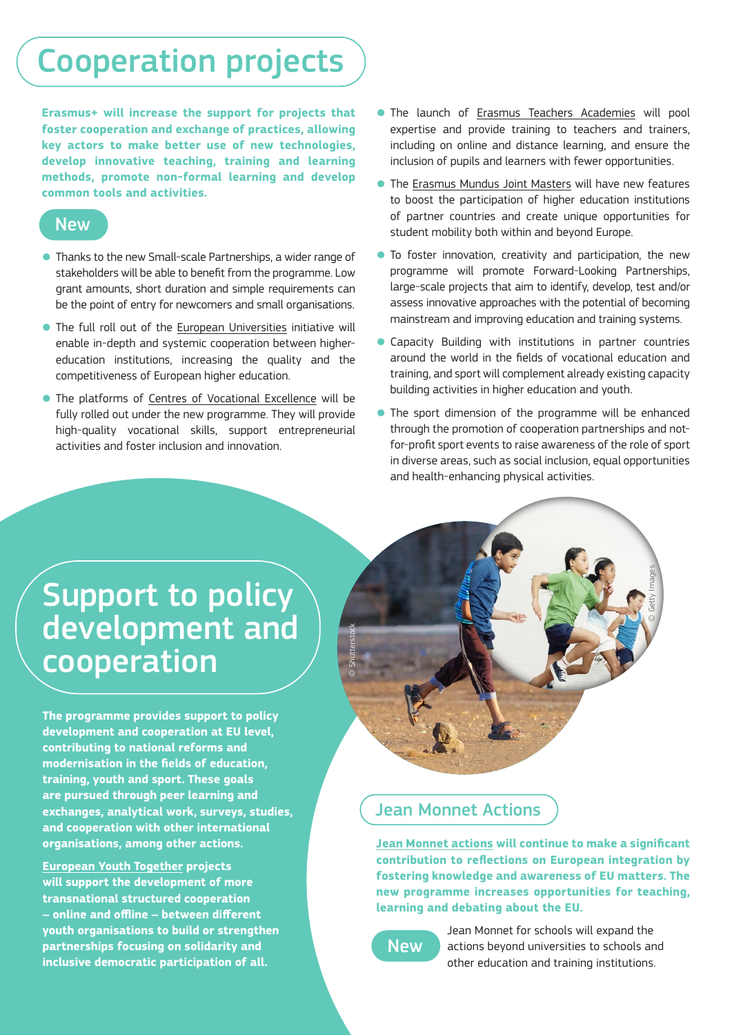# Cooperation projects

**Erasmus+ will increase the support for projects that foster cooperation and exchange of practices, allowing key actors to make better use of new technologies, develop innovative teaching, training and learning methods, promote non-formal learning and develop common tools and activities.** 

### New

- Thanks to the new Small-scale Partnerships, a wider range of stakeholders will be able to benefit from the programme. Low grant amounts, short duration and simple requirements can be the point of entry for newcomers and small organisations.
- The full roll out of the [European Universities](https://ec.europa.eu/education/education-in-the-eu/european-education-area/european-universities-initiative_en) initiative will enable in-depth and systemic cooperation between highereducation institutions, increasing the quality and the competitiveness of European higher education.
- The platforms of [Centres of Vocational Excellence](https://ec.europa.eu/social/main.jsp?catId=1501#:~:text=Centres%20of%20Vocational%20Excellence%20(CoVEs,to%20regional%2C%20economic%20and%20social) will be fully rolled out under the new programme. They will provide high-quality vocational skills, support entrepreneurial activities and foster inclusion and innovation.
- The launch of [Erasmus Teachers Academies](https://ec.europa.eu/programmes/erasmus-plus/news/teacher-academy-courses-and-materials-support-teachers_en) will pool expertise and provide training to teachers and trainers, including on online and distance learning, and ensure the inclusion of pupils and learners with fewer opportunities.
- The [Erasmus Mundus Joint Masters](https://ec.europa.eu/programmes/erasmus-plus/opportunities/individuals/students/erasmus-mundus-joint-master-degrees_en) will have new features to boost the participation of higher education institutions of partner countries and create unique opportunities for student mobility both within and beyond Europe.
- To foster innovation, creativity and participation, the new programme will promote Forward-Looking Partnerships, large-scale projects that aim to identify, develop, test and/or assess innovative approaches with the potential of becoming mainstream and improving education and training systems.
- Capacity Building with institutions in partner countries around the world in the fields of vocational education and training, and sport will complement already existing capacity building activities in higher education and youth.
- The sport dimension of the programme will be enhanced through the promotion of cooperation partnerships and notfor-profit sport events to raise awareness of the role of sport in diverse areas, such as social inclusion, equal opportunities and health-enhancing physical activities.

© Getty Images

## Support to policy development and cooperation

**The programme provides support to policy development and cooperation at EU level, contributing to national reforms and modernisation in the fields of education, training, youth and sport. These goals are pursued through peer learning and exchanges, analytical work, surveys, studies, and cooperation with other international organisations, among other actions.** 

**[European Youth Together](https://eacea.ec.europa.eu/erasmus-plus/actions/key-action-3-support-for-policy-reforms/european-youth-together_en) projects will support the development of more transnational structured cooperation – online and offline – between different youth organisations to build or strengthen partnerships focusing on solidarity and inclusive democratic participation of all.**

### Jean Monnet Actions

**[Jean Monnet actions](https://ec.europa.eu/programmes/erasmus-plus/opportunities/jean-monnet_en) will continue to make a significant contribution to reflections on European integration by fostering knowledge and awareness of EU matters. The new programme increases opportunities for teaching, learning and debating about the EU.**



© Shutterstock

Jean Monnet for schools will expand the actions beyond universities to schools and other education and training institutions.